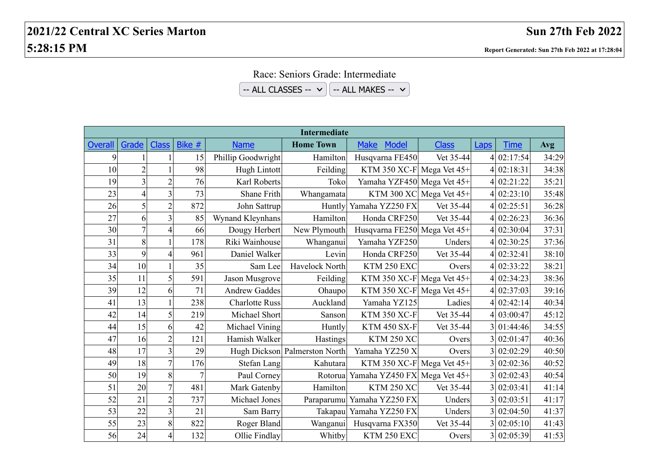## Race: Seniors Grade: Intermediate

 $-$  ALL CLASSES  $\vee$   $\left[ -$  ALL MAKES  $\vee$ 

| <b>Intermediate</b> |                |                |                |                       |                               |                                      |                         |             |             |            |
|---------------------|----------------|----------------|----------------|-----------------------|-------------------------------|--------------------------------------|-------------------------|-------------|-------------|------------|
| <b>Overall</b>      | Grade          | <b>Class</b>   | Bike $#$       | <b>Name</b>           | <b>Home Town</b>              | <b>Model</b><br><b>Make</b>          | <b>Class</b>            | <b>Laps</b> | <b>Time</b> | <b>Avg</b> |
| 9                   |                |                | 15             | Phillip Goodwright    | Hamilton                      | Husqvarna FE450                      | Vet 35-44               |             | 4 02:17:54  | 34:29      |
| 10                  | $\overline{2}$ |                | 98             | Hugh Lintott          | Feilding                      | KTM 350 XC-F Mega Vet $45+$          |                         |             | 02:18:31    | 34:38      |
| 19                  | $\overline{3}$ | $\overline{2}$ | 76             | Karl Roberts          | Toko                          | Yamaha YZF450 Mega Vet 45+           |                         |             | 02:21:22    | 35:21      |
| 23                  | $\overline{4}$ | 3              | 73             | Shane Frith           | Whangamata                    |                                      | KTM 300 XC Mega Vet 45+ |             | 4 02:23:10  | 35:48      |
| 26                  | 5              | $\overline{c}$ | 872            | John Sattrup          |                               | Huntly Yamaha YZ250 FX               | Vet 35-44               |             | 4 02:25:51  | 36:28      |
| 27                  | 6              | 3              | 85             | Wynand Kleynhans      | Hamilton                      | Honda CRF250                         | Vet 35-44               |             | 4 02:26:23  | 36:36      |
| 30                  | $\overline{7}$ | 4              | 66             | Dougy Herbert         | New Plymouth                  | Husqvarna FE250 Mega Vet 45+         |                         |             | 4 02:30:04  | 37:31      |
| 31                  | 8              |                | 178            | Riki Wainhouse        | Whanganui                     | Yamaha YZF250                        | Unders                  |             | 4 02:30:25  | 37:36      |
| 33                  | 9              | 4              | 961            | Daniel Walker         | Levin                         | Honda CRF250                         | Vet 35-44               |             | 4 02:32:41  | 38:10      |
| 34                  | 10             |                | 35             | Sam Lee               | Havelock North                | KTM 250 EXC                          | Overs                   |             | 4 02:33:22  | 38:21      |
| 35                  | 11             | 5              | 591            | Jason Musgrove        | Feilding                      | KTM 350 XC-F Mega Vet $45+$          |                         |             | 4 02:34:23  | 38:36      |
| 39                  | 12             | 6              | 71             | <b>Andrew Gaddes</b>  | Ohaupo                        | KTM 350 XC-F Mega Vet 45+            |                         |             | 4 02:37:03  | 39:16      |
| 41                  | 13             | 1              | 238            | <b>Charlotte Russ</b> | Auckland                      | Yamaha YZ125                         | Ladies                  |             | 4 02:42:14  | 40:34      |
| 42                  | 14             | 5              | 219            | Michael Short         | Sanson                        | <b>KTM 350 XC-F</b>                  | Vet 35-44               |             | 4 03:00:47  | 45:12      |
| 44                  | 15             | 6              | 42             | Michael Vining        | Huntly                        | <b>KTM 450 SX-F</b>                  | Vet 35-44               |             | 3 01:44:46  | 34:55      |
| 47                  | 16             | $\overline{2}$ | 121            | Hamish Walker         | Hastings                      | <b>KTM 250 XC</b>                    | Overs                   |             | 3 02:01:47  | 40:36      |
| 48                  | 17             | 3              | 29             |                       | Hugh Dickson Palmerston North | Yamaha YZ250 X                       | Overs                   |             | 3 02:02:29  | 40:50      |
| 49                  | 18             | 7              | 176            | Stefan Lang           | Kahutara                      | KTM 350 XC-F Mega Vet 45+            |                         |             | 3 02:02:36  | 40:52      |
| 50                  | 19             | 8              | $\overline{7}$ | Paul Corney           |                               | Rotorua Yamaha YZ450 FX Mega Vet 45+ |                         |             | 3 02:02:43  | 40:54      |
| 51                  | 20             | 7              | 481            | Mark Gatenby          | Hamilton                      | <b>KTM 250 XC</b>                    | Vet 35-44               |             | 3 02:03:41  | 41:14      |
| 52                  | 21             | $\overline{2}$ | 737            | Michael Jones         |                               | Paraparumu Yamaha YZ250 FX           | Unders                  |             | 3 02:03:51  | 41:17      |
| 53                  | 22             | 3              | 21             | Sam Barry             |                               | Takapau Yamaha YZ250 FX              | Unders                  |             | 3 02:04:50  | 41:37      |
| 55                  | 23             | 8              | 822            | Roger Bland           | Wanganui                      | Husqvarna FX350                      | Vet 35-44               |             | 3 02:05:10  | 41:43      |
| 56                  | 24             | 4              | 132            | Ollie Findlay         | Whitby                        | KTM 250 EXC                          | Overs                   |             | 3 02:05:39  | 41:53      |